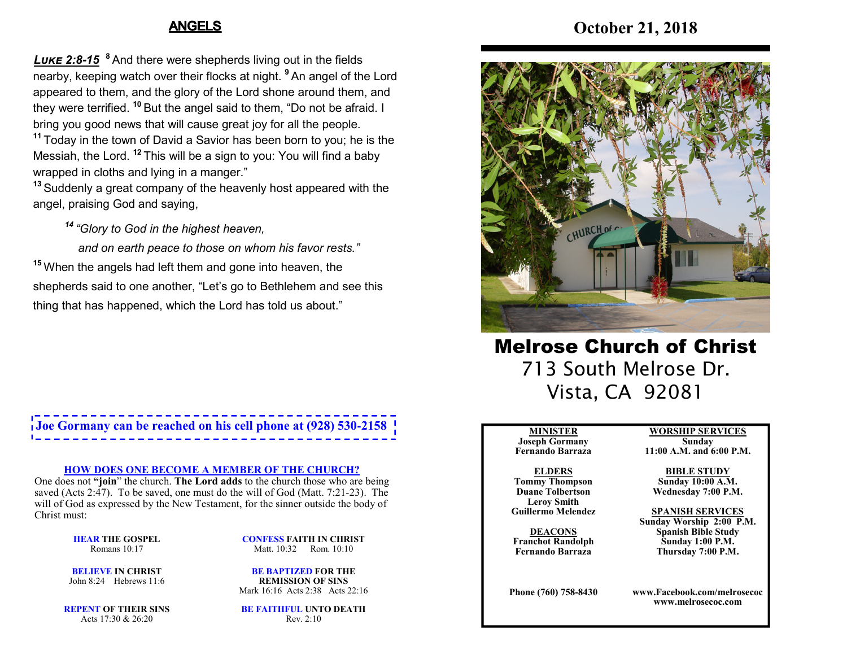### ANGELS

**October 21, 2018**

*L- 2:8***-***15* **<sup>8</sup>** And there were shepherds living out in the fields nearby, keeping watch over their flocks at night. **<sup>9</sup>** An angel of the Lord appeared to them, and the glory of the Lord shone around them, and they were terrified. **<sup>10</sup>** But the angel said to them, "Do not be afraid. <sup>I</sup> bring you good news that will cause great joy for all the people.

**11** Today in the town of David a Savior has been born to you; he is the Messiah, the Lord. **<sup>12</sup>** This will be a sign to you: You will find a baby wrapped in cloths and lying in a manger."

 **13** Suddenly a great company of the heavenly host appeared with theangel, praising God and saying,

*14 "Glory to God in the highest heaven,*

 *and on earth peace to those on whom his favor rests."* **15** When the angels had left them and gone into heaven, the shepherds said to one another, "Let's go to Bethlehem and see this thing that has happened, which the Lord has told us about."

# **Joe Gormany can be reached on his cell phone at (928) 530-2158**

### **HOW DOES ONE BECOME A MEMBER OF THE CHURCH?**

 One does not **"join**" the church. **The Lord adds** to the church those who are being saved (Acts 2:47). To be saved, one must do the will of God (Matt. 7:21-23). The will of God as expressed by the New Testament, for the sinner outside the body of Christ must:

> **HEAR THE GOSPEL**Romans 10:17

**CONFESS FAITH IN CHRIST**Matt. 10:32 Rom. 10:10

**BELIEVE IN CHRIST**John 8:24 Hebrews 11:6

**BE BAPTIZED FOR THE REMISSION OF SINS**Mark 16:16 Acts 2:38 Acts 22:16

**REPENT OF THEIR SINS**Acts 17:30 & 26:20

**BE FAITHFUL UNTO DEATH**Rev. 2:10



Melrose Church of Christ 713 South Melrose Dr. Vista, CA 92081

#### **MINISTER**

 **Joseph Gormany Fernando Barraza**

#### **ELDERS Tommy Thompson Duane Tolbertson**

**Leroy SmithGuillermo Melendez** 

**DEACONS Franchot RandolphFernando Barraza**

**Phone (760) 758-8430**

**WORSHIP SERVICESSunday** 

# **11:00 A.M. and 6:00 P.M.**

**BIBLE STUDY**

 **Sunday 10:00 A.M.Wednesday 7:00 P.M.**

#### **SPANISH SERVICES**

 **Sunday Worship 2:00 P.M.Spanish Bible Study Sunday 1:00 P.M.Thursday 7:00 P.M.**

**www.Facebook.com/melrosecocwww.melrosecoc.com**